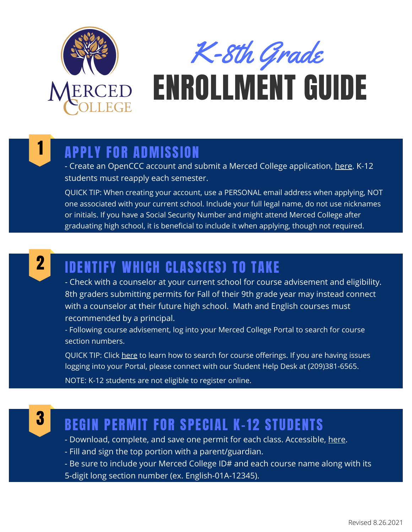

K-8th Grade

# ENROLLMENT GUIDE

#### 1 APPLY FOR ADMISSION

- Create an OpenCCC account and submit a Merced College application, [here.](https://www.opencccapply.net/gateway/apply?cccMisCode=531) K-12 students must reapply each semester.

QUICK TIP: When creating your account, use a PERSONAL email address when applying, NOT one associated with your current school. Include your full legal name, do not use nicknames or initials. If you have a Social Security Number and might attend Merced College after graduating high school, it is beneficial to include it when applying, though not required.



## **2** IDENTIFY WHICH CLASS(ES) TO TAKE

- Check with a counselor at your current school for course advisement and eligibility. 8th graders submitting permits for Fall of their 9th grade year may instead connect with a counselor at their future high school. Math and English courses must recommended by a principal.

- Following course advisement, log into your Merced College Portal to search for course section numbers.

QUICK TIP: Click [here](https://www.youtube.com/watch?v=_Ywp7jQMnAI) to learn how to search for course offerings. If you are having issues logging into your Portal, please connect with our Student Help Desk at (209)381-6565.

NOTE: K-12 students are not eligible to register online.



#### BEGIN PERMIT FOR SPECIAL K-12 STUDENTS

- Download, complete, and save one permit for each class. Accessible, [here](https://www.mccd.edu/resources/admissions-records/forms.html).

- Fill and sign the top portion with a parent/guardian.
- Be sure to include your Merced College ID# and each course name along with its
- 5-digit long section number (ex. English-01A-12345).